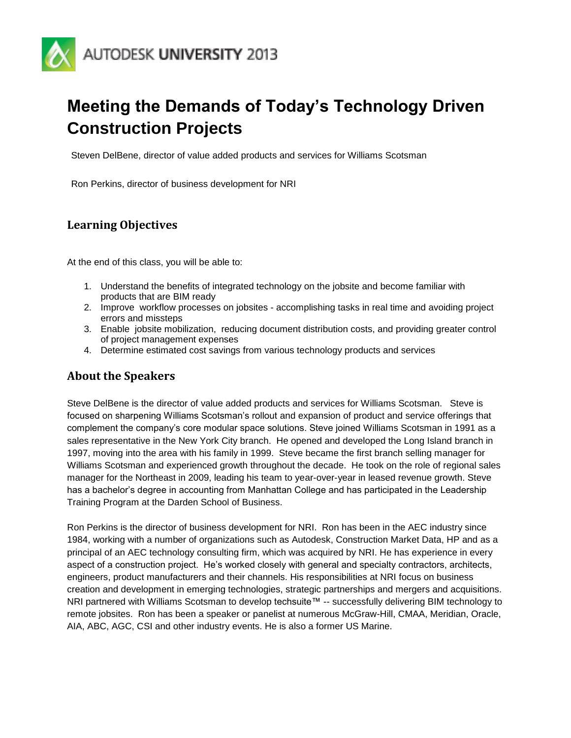

# **Meeting the Demands of Today's Technology Driven Construction Projects**

Steven DelBene, director of value added products and services for Williams Scotsman

Ron Perkins, director of business development for NRI

# **Learning Objectives**

At the end of this class, you will be able to:

- 1. Understand the benefits of integrated technology on the jobsite and become familiar with products that are BIM ready
- 2. Improve workflow processes on jobsites accomplishing tasks in real time and avoiding project errors and missteps
- 3. Enable jobsite mobilization, reducing document distribution costs, and providing greater control of project management expenses
- 4. Determine estimated cost savings from various technology products and services

### **About the Speakers**

Steve DelBene is the director of value added products and services for Williams Scotsman. Steve is focused on sharpening Williams Scotsman's rollout and expansion of product and service offerings that complement the company's core modular space solutions. Steve joined Williams Scotsman in 1991 as a sales representative in the New York City branch. He opened and developed the Long Island branch in 1997, moving into the area with his family in 1999. Steve became the first branch selling manager for Williams Scotsman and experienced growth throughout the decade. He took on the role of regional sales manager for the Northeast in 2009, leading his team to year-over-year in leased revenue growth. Steve has a bachelor's degree in accounting from Manhattan College and has participated in the Leadership Training Program at the Darden School of Business.

Ron Perkins is the director of business development for NRI. Ron has been in the AEC industry since 1984, working with a number of organizations such as Autodesk, Construction Market Data, HP and as a principal of an AEC technology consulting firm, which was acquired by NRI. He has experience in every aspect of a construction project. He's worked closely with general and specialty contractors, architects, engineers, product manufacturers and their channels. His responsibilities at NRI focus on business creation and development in emerging technologies, strategic partnerships and mergers and acquisitions. NRI partnered with Williams Scotsman to develop techsuite™ -- successfully delivering BIM technology to remote jobsites. Ron has been a speaker or panelist at numerous McGraw-Hill, CMAA, Meridian, Oracle, AIA, ABC, AGC, CSI and other industry events. He is also a former US Marine.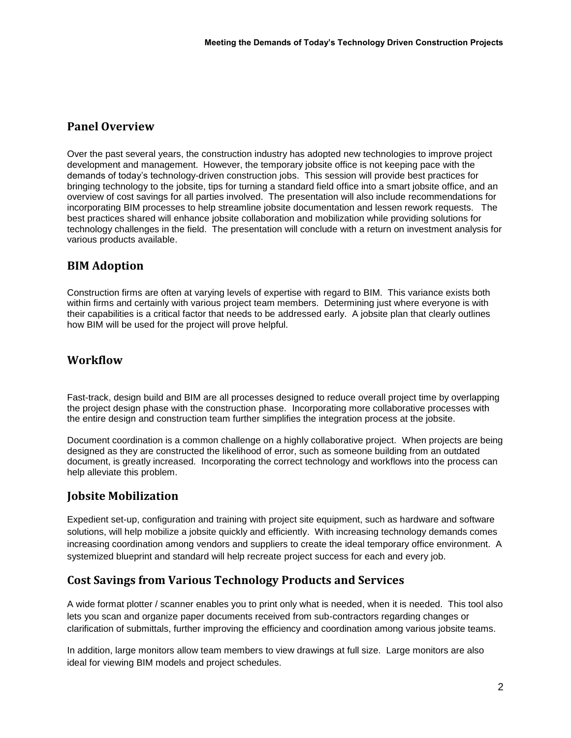## **Panel Overview**

Over the past several years, the construction industry has adopted new technologies to improve project development and management. However, the temporary jobsite office is not keeping pace with the demands of today's technology-driven construction jobs. This session will provide best practices for bringing technology to the jobsite, tips for turning a standard field office into a smart jobsite office, and an overview of cost savings for all parties involved. The presentation will also include recommendations for incorporating BIM processes to help streamline jobsite documentation and lessen rework requests. The best practices shared will enhance jobsite collaboration and mobilization while providing solutions for technology challenges in the field. The presentation will conclude with a return on investment analysis for various products available.

# **BIM Adoption**

Construction firms are often at varying levels of expertise with regard to BIM. This variance exists both within firms and certainly with various project team members. Determining just where everyone is with their capabilities is a critical factor that needs to be addressed early. A jobsite plan that clearly outlines how BIM will be used for the project will prove helpful.

### **Workflow**

Fast-track, design build and BIM are all processes designed to reduce overall project time by overlapping the project design phase with the construction phase. Incorporating more collaborative processes with the entire design and construction team further simplifies the integration process at the jobsite.

Document coordination is a common challenge on a highly collaborative project. When projects are being designed as they are constructed the likelihood of error, such as someone building from an outdated document, is greatly increased. Incorporating the correct technology and workflows into the process can help alleviate this problem.

### **Jobsite Mobilization**

Expedient set-up, configuration and training with project site equipment, such as hardware and software solutions, will help mobilize a jobsite quickly and efficiently. With increasing technology demands comes increasing coordination among vendors and suppliers to create the ideal temporary office environment. A systemized blueprint and standard will help recreate project success for each and every job.

# **Cost Savings from Various Technology Products and Services**

A wide format plotter / scanner enables you to print only what is needed, when it is needed. This tool also lets you scan and organize paper documents received from sub-contractors regarding changes or clarification of submittals, further improving the efficiency and coordination among various jobsite teams.

In addition, large monitors allow team members to view drawings at full size. Large monitors are also ideal for viewing BIM models and project schedules.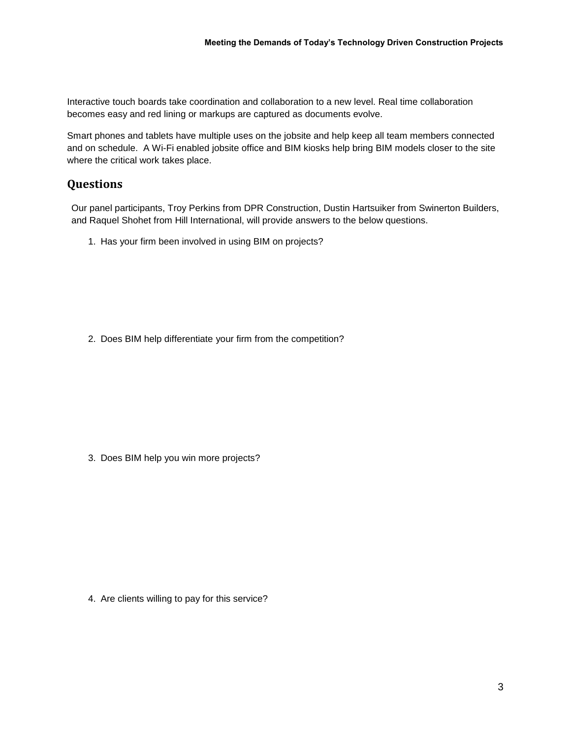Interactive touch boards take coordination and collaboration to a new level. Real time collaboration becomes easy and red lining or markups are captured as documents evolve.

Smart phones and tablets have multiple uses on the jobsite and help keep all team members connected and on schedule. A Wi-Fi enabled jobsite office and BIM kiosks help bring BIM models closer to the site where the critical work takes place.

#### **Questions**

Our panel participants, Troy Perkins from DPR Construction, Dustin Hartsuiker from Swinerton Builders, and Raquel Shohet from Hill International, will provide answers to the below questions.

1. Has your firm been involved in using BIM on projects?

2. Does BIM help differentiate your firm from the competition?

3. Does BIM help you win more projects?

4. Are clients willing to pay for this service?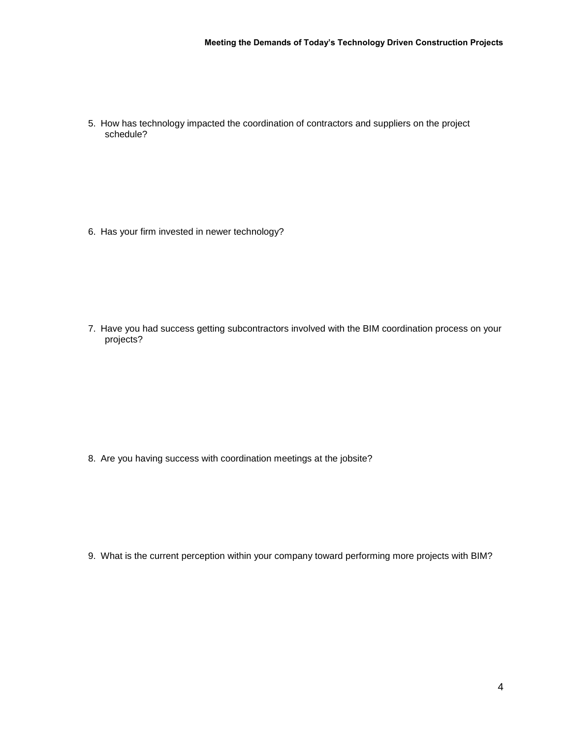5. How has technology impacted the coordination of contractors and suppliers on the project schedule?

6. Has your firm invested in newer technology?

7. Have you had success getting subcontractors involved with the BIM coordination process on your projects?

8. Are you having success with coordination meetings at the jobsite?

9. What is the current perception within your company toward performing more projects with BIM?